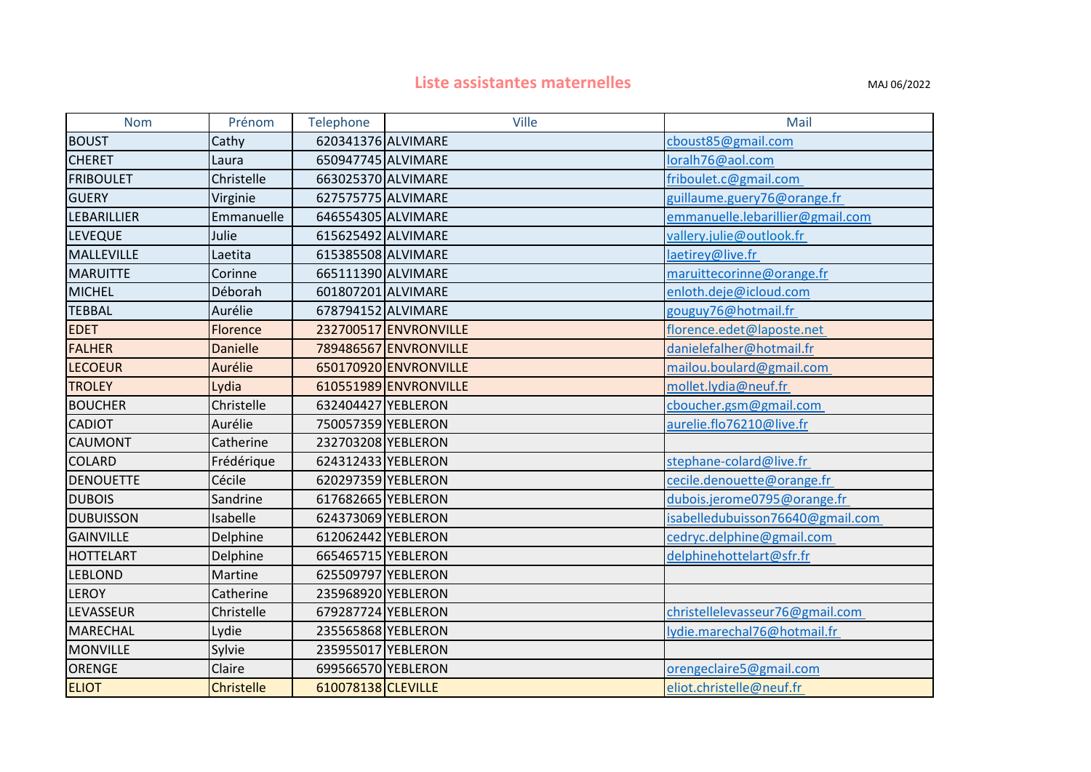## **Liste assistantes maternelles MAJ 06/2022**

| <b>Nom</b>         | Prénom            | Telephone          | <b>Ville</b>          | Mail                             |
|--------------------|-------------------|--------------------|-----------------------|----------------------------------|
| <b>BOUST</b>       | Cathy             | 620341376 ALVIMARE |                       | cboust85@gmail.com               |
| <b>CHERET</b>      | Laura             | 650947745 ALVIMARE |                       | loralh76@aol.com                 |
| <b>FRIBOULET</b>   | Christelle        | 663025370 ALVIMARE |                       | friboulet.c@gmail.com            |
| <b>GUERY</b>       | Virginie          | 627575775 ALVIMARE |                       | guillaume.guery76@orange.fr      |
| <b>LEBARILLIER</b> | Emmanuelle        | 646554305 ALVIMARE |                       | emmanuelle.lebarillier@gmail.com |
| <b>LEVEQUE</b>     | Julie             | 615625492 ALVIMARE |                       | vallery.julie@outlook.fr         |
| MALLEVILLE         | Laetita           | 615385508 ALVIMARE |                       | laetirey@live.fr                 |
| <b>MARUITTE</b>    | Corinne           | 665111390 ALVIMARE |                       | maruittecorinne@orange.fr        |
| <b>MICHEL</b>      | Déborah           | 601807201 ALVIMARE |                       | enloth.deje@icloud.com           |
| <b>TEBBAL</b>      | Aurélie           | 678794152 ALVIMARE |                       | gouguy76@hotmail.fr              |
| <b>EDET</b>        | Florence          |                    | 232700517 ENVRONVILLE | florence.edet@laposte.net        |
| <b>FALHER</b>      | <b>Danielle</b>   |                    | 789486567 ENVRONVILLE | danielefalher@hotmail.fr         |
| <b>LECOEUR</b>     | Aurélie           |                    | 650170920 ENVRONVILLE | mailou.boulard@gmail.com         |
| <b>TROLEY</b>      | Lydia             |                    | 610551989 ENVRONVILLE | mollet.lydia@neuf.fr             |
| <b>BOUCHER</b>     | Christelle        | 632404427 YEBLERON |                       | cboucher.gsm@gmail.com           |
| <b>CADIOT</b>      | Aurélie           | 750057359 YEBLERON |                       | aurelie.flo76210@live.fr         |
| <b>CAUMONT</b>     | Catherine         | 232703208 YEBLERON |                       |                                  |
| <b>COLARD</b>      | Frédérique        | 624312433 YEBLERON |                       | stephane-colard@live.fr          |
| <b>DENOUETTE</b>   | Cécile            | 620297359 YEBLERON |                       | cecile.denouette@orange.fr       |
| <b>DUBOIS</b>      | Sandrine          | 617682665 YEBLERON |                       | dubois.jerome0795@orange.fr      |
| <b>DUBUISSON</b>   | Isabelle          | 624373069 YEBLERON |                       | isabelledubuisson76640@gmail.com |
| <b>GAINVILLE</b>   | Delphine          | 612062442 YEBLERON |                       | cedryc.delphine@gmail.com        |
| <b>HOTTELART</b>   | Delphine          | 665465715 YEBLERON |                       | delphinehottelart@sfr.fr         |
| <b>LEBLOND</b>     | Martine           | 625509797 YEBLERON |                       |                                  |
| <b>LEROY</b>       | Catherine         | 235968920 YEBLERON |                       |                                  |
| LEVASSEUR          | Christelle        | 679287724 YEBLERON |                       | christellelevasseur76@gmail.com  |
| <b>MARECHAL</b>    | Lydie             | 235565868 YEBLERON |                       | lydie.marechal76@hotmail.fr      |
| <b>MONVILLE</b>    | Sylvie            | 235955017 YEBLERON |                       |                                  |
| ORENGE             | Claire            | 699566570 YEBLERON |                       | orengeclaire5@gmail.com          |
| <b>ELIOT</b>       | <b>Christelle</b> | 610078138 CLEVILLE |                       | eliot.christelle@neuf.fr         |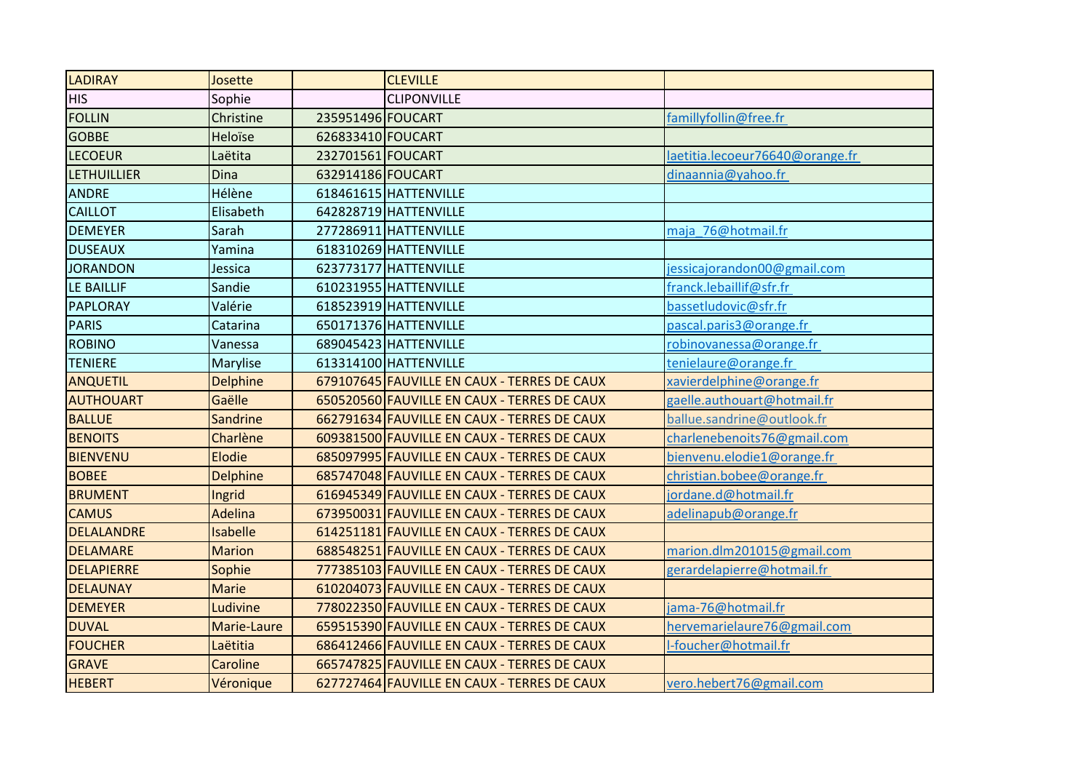| <b>LADIRAY</b>     | Josette         |                   | <b>CLEVILLE</b>                             |                                 |
|--------------------|-----------------|-------------------|---------------------------------------------|---------------------------------|
| <b>HIS</b>         | Sophie          |                   | <b>CLIPONVILLE</b>                          |                                 |
| <b>FOLLIN</b>      | Christine       | 235951496 FOUCART |                                             | famillyfollin@free.fr           |
| <b>GOBBE</b>       | Heloïse         | 626833410 FOUCART |                                             |                                 |
| <b>LECOEUR</b>     | Laëtita         | 232701561 FOUCART |                                             | laetitia.lecoeur76640@orange.fr |
| <b>LETHUILLIER</b> | Dina            | 632914186 FOUCART |                                             | dinaannia@yahoo.fr              |
| <b>ANDRE</b>       | Hélène          |                   | 618461615 HATTENVILLE                       |                                 |
| <b>CAILLOT</b>     | Elisabeth       |                   | 642828719 HATTENVILLE                       |                                 |
| <b>DEMEYER</b>     | Sarah           |                   | 277286911 HATTENVILLE                       | maja 76@hotmail.fr              |
| <b>DUSEAUX</b>     | Yamina          |                   | 618310269 HATTENVILLE                       |                                 |
| <b>JORANDON</b>    | Jessica         |                   | 623773177 HATTENVILLE                       | jessicajorandon00@gmail.com     |
| LE BAILLIF         | Sandie          |                   | 610231955 HATTENVILLE                       | franck.lebaillif@sfr.fr         |
| PAPLORAY           | Valérie         |                   | 618523919 HATTENVILLE                       | bassetludovic@sfr.fr            |
| <b>PARIS</b>       | Catarina        |                   | 650171376 HATTENVILLE                       | pascal.paris3@orange.fr         |
| <b>ROBINO</b>      | Vanessa         |                   | 689045423 HATTENVILLE                       | robinovanessa@orange.fr         |
| <b>TENIERE</b>     | Marylise        |                   | 613314100 HATTENVILLE                       | tenielaure@orange.fr            |
| <b>ANQUETIL</b>    | <b>Delphine</b> |                   | 679107645 FAUVILLE EN CAUX - TERRES DE CAUX | xavierdelphine@orange.fr        |
| <b>AUTHOUART</b>   | Gaëlle          |                   | 650520560 FAUVILLE EN CAUX - TERRES DE CAUX | gaelle.authouart@hotmail.fr     |
| <b>BALLUE</b>      | Sandrine        |                   | 662791634 FAUVILLE EN CAUX - TERRES DE CAUX | ballue.sandrine@outlook.fr      |
| <b>BENOITS</b>     | Charlène        |                   | 609381500 FAUVILLE EN CAUX - TERRES DE CAUX | charlenebenoits76@gmail.com     |
| <b>BIENVENU</b>    | Elodie          |                   | 685097995 FAUVILLE EN CAUX - TERRES DE CAUX | bienvenu.elodie1@orange.fr      |
| <b>BOBEE</b>       | <b>Delphine</b> |                   | 685747048 FAUVILLE EN CAUX - TERRES DE CAUX | christian.bobee@orange.fr       |
| <b>BRUMENT</b>     | Ingrid          |                   | 616945349 FAUVILLE EN CAUX - TERRES DE CAUX | jordane.d@hotmail.fr            |
| <b>CAMUS</b>       | <b>Adelina</b>  |                   | 673950031 FAUVILLE EN CAUX - TERRES DE CAUX | adelinapub@orange.fr            |
| <b>DELALANDRE</b>  | <b>Isabelle</b> |                   | 614251181 FAUVILLE EN CAUX - TERRES DE CAUX |                                 |
| <b>DELAMARE</b>    | <b>Marion</b>   |                   | 688548251 FAUVILLE EN CAUX - TERRES DE CAUX | marion.dlm201015@gmail.com      |
| <b>DELAPIERRE</b>  | Sophie          |                   | 777385103 FAUVILLE EN CAUX - TERRES DE CAUX | gerardelapierre@hotmail.fr      |
| <b>DELAUNAY</b>    | <b>Marie</b>    |                   | 610204073 FAUVILLE EN CAUX - TERRES DE CAUX |                                 |
| <b>DEMEYER</b>     | Ludivine        |                   | 778022350 FAUVILLE EN CAUX - TERRES DE CAUX | jama-76@hotmail.fr              |
| <b>DUVAL</b>       | Marie-Laure     |                   | 659515390 FAUVILLE EN CAUX - TERRES DE CAUX | hervemarielaure76@gmail.com     |
| <b>FOUCHER</b>     | Laëtitia        |                   | 686412466 FAUVILLE EN CAUX - TERRES DE CAUX | I-foucher@hotmail.fr            |
| <b>GRAVE</b>       | Caroline        |                   | 665747825 FAUVILLE EN CAUX - TERRES DE CAUX |                                 |
| <b>HEBERT</b>      | Véronique       |                   | 627727464 FAUVILLE EN CAUX - TERRES DE CAUX | vero.hebert76@gmail.com         |